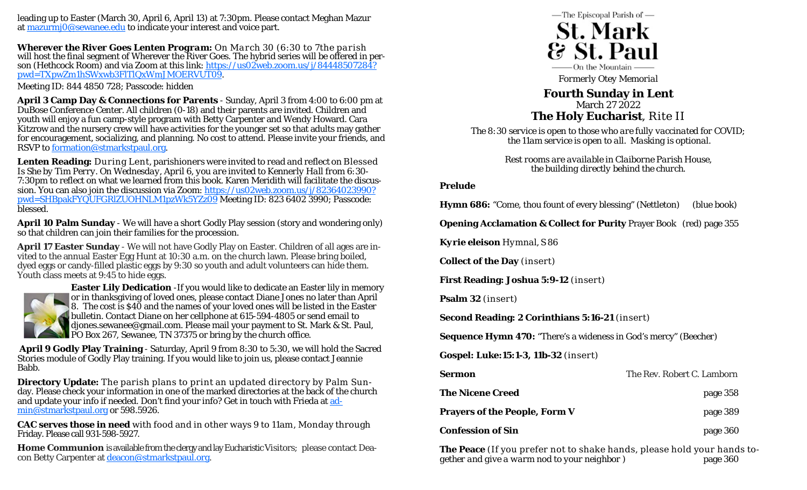leading up to Easter (March 30, April 6, April 13) at 7:30pm. Please contact Meghan Mazur at mazurmj0@sewanee.edu to indicate your interest and voice part.

*Wherever the River Goes* **Lenten Program:** On March 30 (6:30 to 7the parish will host the final segment of *Wherever the River Goes*. The hybrid series will be offered in person (Hethcock Room) and via Zoom at this link: https://us02web.zoom.us/j/84448507284? pwd=TXpwZm1hSWxwb3FlTlQxWmJMOERVUT09.

Meeting ID: 844 4850 728; Passcode: hidden

**April 3 Camp Day & Connections for Parents** - Sunday, April 3 from 4:00 to 6:00 pm at DuBose Conference Center. All children (0-18) and their parents are invited. Children and youth will enjoy a fun camp-style program with Betty Carpenter and Wendy Howard. Cara Kitzrow and the nursery crew will have activities for the younger set so that adults may gather for encouragement, socializing, and planning. No cost to attend. Please invite your friends, and RSVP to formation@stmarkstpaul.org.

**Lenten Reading:** During Lent, parishioners were invited to read and reflect on *Blessed Is She* by Tim Perry. On Wednesday, April 6, you are invited to Kennerly Hall from 6:30- 7:30pm to reflect on what we learned from this book. Karen Meridith will facilitate the discussion. You can also join the discussion via Zoom: https://us02web.zoom.us/j/82364023990? pwd=SHBpakFYQUFGRlZUOHNLM1pzWk5YZz09 Meeting ID: 823 6402 3990; Passcode: blessed.

**April 10 Palm Sunday** - We will have a short Godly Play session (story and wondering only) so that children can join their families for the procession.

**April 17 Easter Sunday** - We will not have Godly Play on Easter. Children of all ages are invited to the annual Easter Egg Hunt at 10:30 a.m. on the church lawn. Please bring boiled, dyed eggs or candy-filled plastic eggs by 9:30 so youth and adult volunteers can hide them. Youth class meets at 9:45 to hide eggs.



**Easter Lily Dedication** -If you would like to dedicate an Easter lily in memory or in thanksgiving of loved ones, please contact Diane Jones no later than April 8. The cost is \$40 and the names of your loved ones will be listed in the Easter bulletin. Contact Diane on her cellphone at 615-594-4805 or send email to djones.sewanee@gmail.com. Please mail your payment to St. Mark & St. Paul, PO Box 267, Sewanee, TN 37375 or bring by the church office.

**April 9 Godly Play Training** - Saturday, April 9 from 8:30 to 5:30, we will hold the Sacred Stories module of Godly Play training. If you would like to join us, please contact Jeannie Babb.

**Directory Update:** The parish plans to print an updated directory by Palm Sunday. Please check your information in one of the marked directories at the back of the church and update your info if needed. Don't find your info? Get in touch with Frieda at admin@stmarkstpaul.org or 598.5926.

**CAC serves those in need** with food and in other ways 9 to 11am, Monday through Friday. Please call 931-598-5927.

**Home Communion** is available from the clergy and lay Eucharistic Visitors; please contact Deacon Betty Carpenter at deacon@stmarkstpaul.org.



*Formerly Otey Memorial* 

# **Fourth Sunday in Lent**  March 27 2022 **The Holy Eucharist**, Rite II

*The 8:30 service is open to those who are fully vaccinated for COVID; the 11am service is open to all. Masking is optional.* 

> *Rest rooms are available in Claiborne Parish House, the building directly behind the church.*

### **Prelude**

**Hymn 686:** "Come, thou fount of every blessing" *(Nettleton)* (blue book)

**Opening Acclamation & Collect for Purity** Prayer Book (red) page 355

*Kyrie eleison* Hymnal, S 86

**Collect of the Day** *(insert)* 

**First Reading: Joshua 5:9-12** *(insert)*

**Psalm 32** *(insert)*

**Second Reading: 2 Corinthians 5:16-21** *(insert)* 

**Sequence Hymn 470:** "There's a wideness in God's mercy" *(Beecher)* 

**Gospel: Luke:15:1-3, 11b-32** *(insert)* 

| Sermon                        | The Rev. Robert C. Lamborn |
|-------------------------------|----------------------------|
| <b>The Nicene Creed</b>       | page 358                   |
| Prayers of the People, Form V | page 389                   |
| <b>Confession of Sin</b>      | page 360                   |

**The Peace** *(If you prefer not to shake hands, please hold your hands together and give a warm nod to your neighbor* )